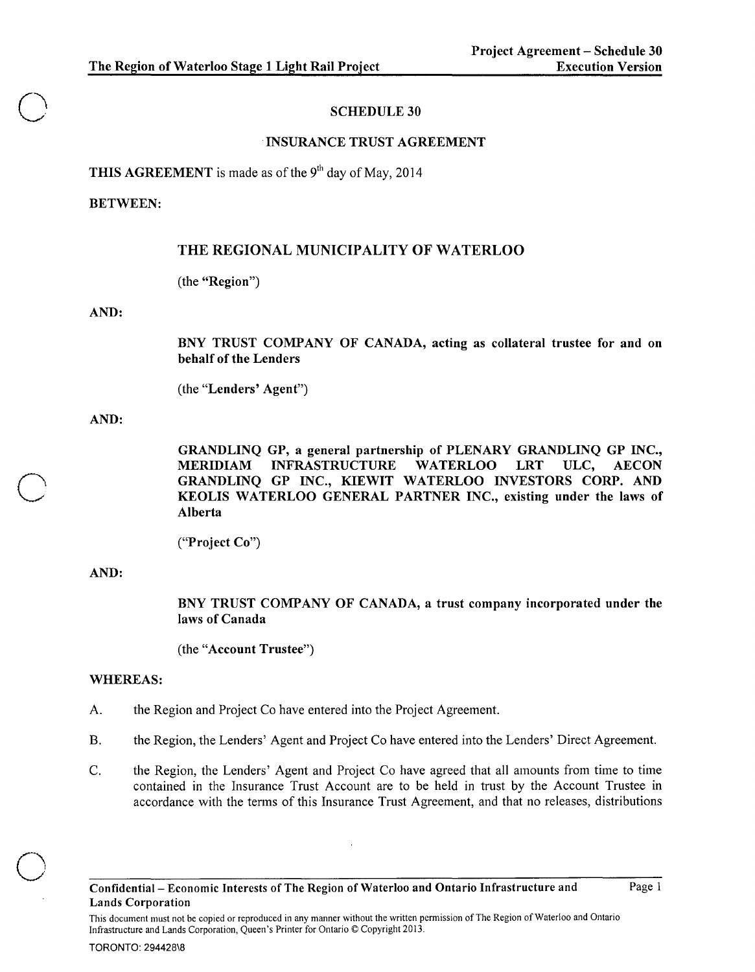# SCHEDULE 30

# mSURANCE TRUST AGREEMENT

THIS AGREEMENT is made as of the  $9<sup>th</sup>$  day of May, 2014

### BETWEEN:

o

 $\bigcirc$ 

o

# THE REGIONAL MUNICIPALITY OF WATERLOO

(the "Region")

### AND:

BNY TRUST COMPANY OF CANADA, acting as collateral trustee for and on behalf of the Lenders

(the "Lenders' Agent")

### AND:

GRANDLINQ GP, a general partnership of PLENARY GRANDLINQ GP INC., MERIDIAM INFRASTRUCTURE WATERLOO LRT ULC, AECON GRANDLINQ GP INC., KIEWIT WATERLOO INVESTORS CORP. AND KEOLIS WATERLOO GENERAL PARTNER INC., existing under the laws of Alberta

# AND:

BNY TRUST COMPANY OF CANADA, a trust company incorporated under the laws of Canada

(the "Account Trustee")

# WHEREAS:

- A. the Region and Project Co have entered into the Project Agreement.
- B. the Region, the Lenders' Agent and Project Co have entered into the Lenders' Direct Agreement.
- C. the Region, the Lenders' Agent and Project Co have agreed that all amounts from time to time contained in the Insurance Trust Account are to be held in trust by the Account Trustee in accordance with the terms of this Insurance Trust Agreement, and that no releases, distributions

<sup>(&</sup>quot;Project Co")

This document must not be copied or reproduced in any manner without the written permission of The Region of Waterloo and Ontario Infrastructure and Lands Corporation, Queen's Printer for Ontario © Copyright 2013.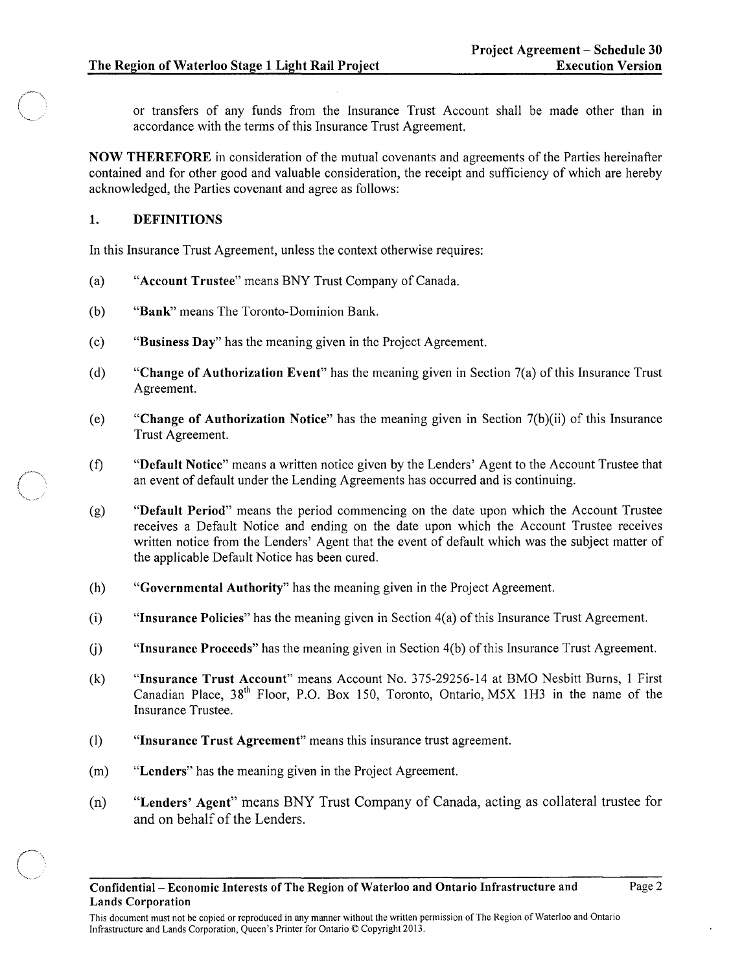or transfers of any funds from the Insurance Trust Account shall be made other than In accordance with the terms of this Insurance Trust Agreement.

NOW THEREFORE in consideration of the mutual covenants and agreements of the Parties hereinafter contained and for other good and valuable consideration, the receipt and sufficiency of which are hereby acknowledged, the Parties covenant and agree as follows:

### 1. DEFINITIONS

 $\leftarrow$   $\rightarrow$ ''-~ ... ...--.

In this Insurance Trust Agreement, unless the context otherwise requires:

- (a) "Account Trustee" means BNY Trust Company of Canada.
- (b) "Bank" means The Toronto-Dominion Bank.
- (c) "Business Day" has the meaning given in the Project Agreement.
- (d) "Change of Authorization Event" has the meaning given in Section 7(a) of this Insurance Trust Agreement.
- (e) "Change of Authorization Notice" has the meaning given in Section  $7(b)(ii)$  of this Insurance Trust Agreement.
- (f) "Default Notice" means a written notice given by the Lenders' Agent to the Account Trustee that an event of default under the Lending Agreements has occurred and is continuing.
- (g) "Default Period" means the period commencing on the date upon which the Account Trustee receives a Default Notice and ending on the date upon which the Account Trustee receives written notice from the Lenders' Agent that the event of default which was the subject matter of the applicable Default Notice has been cured.
- (h) "Governmental Authority" has the meaning given in the Project Agreement.
- $(i)$  "Insurance Policies" has the meaning given in Section  $4(a)$  of this Insurance Trust Agreement.
- U) "Insurance Proceeds" has the meaning given in Section 4(b) of this Insurance Trust Agreement.
- (k) "Insurance Trust Account" means Account No. 375-29256-14 at BMO Nesbitt Burns, I First Canadian Place,  $38<sup>th</sup>$  Floor, P.O. Box 150, Toronto, Ontario, M5X 1H3 in the name of the Insurance Trustee.
- (I) "Insurance Trust Agreement" means this insurance trust agreement.
- (m) "Lenders" has the meaning given in the Project Agreement.
- (n) "Lenders' Agent" means BNY Trust Company of Canada, acting as collateral trustee for and on behalf of the Lenders.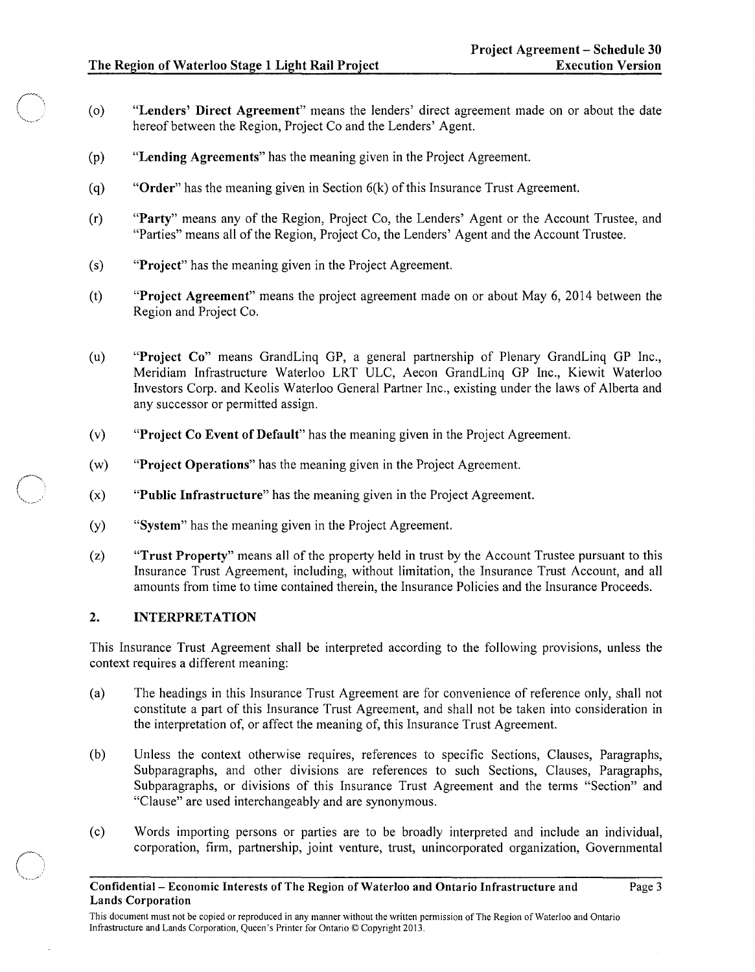c:"

 $\bigcap$  $\ddot{r}$  .....  $\ddot{r}$ 

- (0) "Lenders' Direct Agreement" means the lenders' direct agreement made on or about the date hereof between the Region, Project Co and the Lenders' Agent.
- (p) "Lending Agreements" has the meaning given in the Project Agreement.
- (q) "Order" has the meaning given in Section  $6(k)$  of this Insurance Trust Agreement.
- (r) "Party" means any of the Region, Project Co, the Lenders' Agent or the Account Trustee, and "Parties" means all of the Region, Project Co, the Lenders' Agent and the Account Trustee.
- (s) "Project" has the meaning given in the Project Agreement.
- (t) "Project Agreement" means the project agreement made on or about May 6, 2014 between the Region and Project Co.
- (u) "Project Co" means GrandLinq GP, a general partnership of Plenary GrandLinq GP Inc., Meridiam Infrastructure Waterloo LRT ULC, Aecon GrandLinq GP Inc., Kiewit Waterloo Investors Corp. and Keolis Waterloo General Partner Inc., existing under the laws of Alberta and any successor or permitted assign.
- (v) "Project Co Event of Default" has the meaning given in the Project Agreement.
- (w) "Project Operations" has the meaning given in the Project Agreement.
- (x) "Public Infrastructure" has the meaning given in the Project Agreement.
- (y) "System" has the meaning given in the Project Agreement.
- (z) "Trust Property" means all of the property held in trust by the Account Trustee pursuant to this Insurance Trust Agreement, including, without limitation, the Insurance Trust Account, and all amounts from time to time contained therein, the Insurance Policies and the Insurance Proceeds.

# 2. INTERPRETATION

This Insurance Trust Agreement shall be interpreted according to the following provisions, unless the context requires a different meaning:

- (a) The headings in this Insurance Trust Agreement are for convenience of reference only, shall not constitute a part of this Insurance Trust Agreement, and shall not be taken into consideration in the interpretation of, or affect the meaning of, this Insurance Trust Agreement.
- (b) Unless the context otherwise requires, references to specific Sections, Clauses, Paragraphs, Subparagraphs, and other divisions are references to such Sections, Clauses, Paragraphs, Subparagraphs, or divisions of this Insurance Trust Agreement and the terms "Section" and "Clause" are used interchangeably and are synonymous.
- (c) Words importing persons or parties are to be broadly interpreted and include an individual, corporation, firm, partnership, joint venture, trust, unincorporated organization, Governmental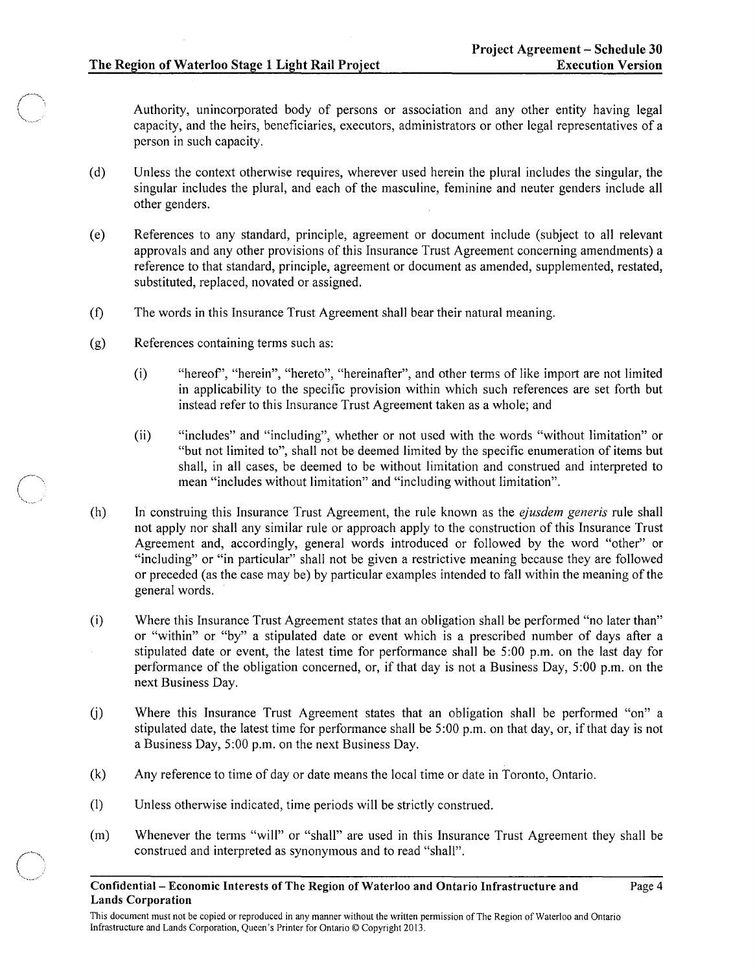Authority, unincorporated body of persons or association and any other entity having legal capacity, and the heirs, beneficiaries, executors, administrators or other legal representatives of a person in such capacity.

- (d) Unless the context otherwise requires, wherever used herein the plural includes the singular, the singular includes the plural, and each of the masculine, feminine and neuter genders include all other genders.
- (e) References to any standard, principle, agreement or document include (subject to all relevant approvals and any other provisions of this Insurance Trust Agreement concerning amendments) a reference to that standard, principle, agreement or document as amended, supplemented, restated, substituted, replaced, novated or assigned.
- (£) The words in this Insurance Trust Agreement shall bear their natural meaning.
- (g) References containing terms such as:
	- (i) "hereof', "herein", "hereto", "hereinafter", and other terms of like import are not limited in applicability to the specific provision within which such references are set forth but instead refer to this Insurance Trust Agreement taken as a whole; and
	- (ii) "includes" and "including", whether or not used with the words "without limitation" or "but not limited to", shall not be deemed limited by the specific enumeration of items but shall, in all cases, be deemed to be without limitation and construed and interpreted to mean "includes without limitation" and "including without limitation".
- (h) In construing this Insurance Trust Agreement, the rule known as the *ejusdem generis* rule shall not apply nor shall any similar rule or approach apply to the construction of this Insurance Trust Agreement and, accordingly, general words introduced or followed by the word "other" or "including" or "in particular" shall not be given a restrictive meaning because they are followed or preceded (as the case may be) by particular examples intended to fall within the meaning of the general words.
- (i) Where this Insurance Trust Agreement states that an obligation shall be performed "no later than" or "within" or "by" a stipulated date or event which is a prescribed number of days after a stipulated date or event, the latest time for performance shall be 5:00 p.m. on the last day for performance of the obligation concerned, or, if that day is not a Business Day, 5 :00 p.m. on the next Business Day.
- (j) Where this Insurance Trust Agreement states that an obligation shall be performed "on" a stipulated date, the latest time for performance shall be 5:00 p.m. on that day, or, if that day is not a Business Day, 5:00 p.m. on the next Business Day.
- (k) Any reference to time of day or date means the local time or date in Toronto, Ontario.
- (I) Unless otherwise indicated, time periods will be strictly construed.
- (m) Whenever the terms "will" or "shall" are used in this Insurance Trust Agreement they shall be construed and interpreted as synonymous and to read "shall".

Confidential- Economic Interests of The Region of Waterloo and Ontario Infrastructure and Lands Corporation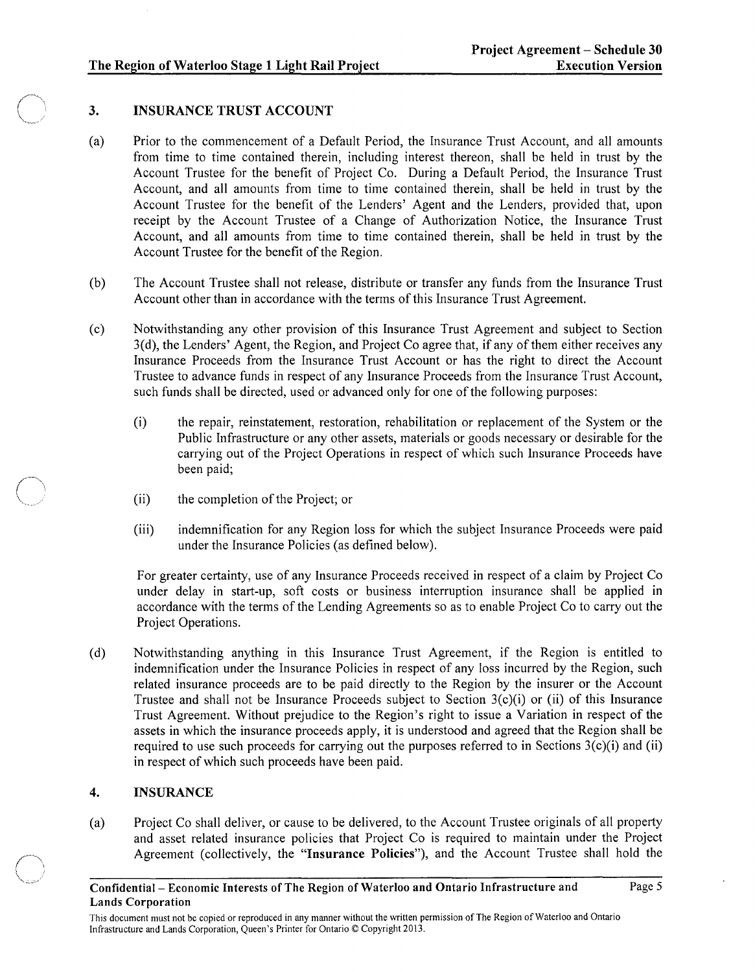# The Region of Waterloo Stage 1 Light Rail Project

# 3. INSURANCE TRUST ACCOUNT

- (a) Prior to the commencement of a Default Period, the Insurance Trust Account, and all amounts from time to time contained therein, including interest thereon, shall be held in trust by the Account Trustee for the benefit of Project Co. During a Default Period, the Insurance Trust Account, and all amounts from time to time contained therein, shall be held in trust by the Account Trustee for the benefit of the Lenders' Agent and the Lenders, provided that, upon receipt by the Account Trustee of a Change of Authorization Notice, the Insurance Trust Account, and all amounts from time to time contained therein, shall be held in trust by the Account Trustee for the benefit of the Region.
- (b) The Account Trustee shall not release, distribute or transfer any funds from the Insurance Trust Account other than in accordance with the terms of this Insurance Trust Agreement.
- (c) Notwithstanding any other provision of this Insurance Trust Agreement and subject to Section 3(d), the Lenders' Agent, the Region, and Project Co agree that, if any of them either receives any Insurance Proceeds from the Insurance Trust Account or has the right to direct the Account Trustee to advance funds in respect of any Insurance Proceeds from the Insurance Trust Account, such funds shall be directed, used or advanced only for one of the following purposes:
	- (i) the repair, reinstatement, restoration, rehabilitation or replacement of the System or the Public Infrastructure or any other assets, materials or goods necessary or desirable for the carrying out of the Project Operations in respect of which such Insurance Proceeds have been paid;
	- (ii) the completion of the Project; or
	- (iii) indemnification for any Region loss for which the subject Insurance Proceeds were paid under the Insurance Policies (as defined below).

For greater certainty, use of any Insurance Proceeds received in respect of a claim by Project Co under delay in start-up, soft costs or business interruption insurance shall be applied in accordance with the terms of the Lending Agreements so as to enable Project Co to carry out the Project Operations.

(d) Notwithstanding anything in this Insurance Trust Agreement, if the Region is entitled to indemnification under the Insurance Policies in respect of any loss incurred by the Region, such related insurance proceeds are to be paid directly to the Region by the insurer or the Account Trustee and shall not be Insurance Proceeds subject to Section 3(c)(i) or (ii) of this Insurance Trust Agreement. Without prejudice to the Region's right to issue a Variation in respect of the assets in which the insurance proceeds apply, it is understood and agreed that the Region shall be required to use such proceeds for carrying out the purposes referred to in Sections  $3(c)(i)$  and (ii) in respect of which such proceeds have been paid.

# 4. INSURANCE

(a) Project Co shall deliver, or cause to be delivered, to the Account Trustee originals of all property and asset related insurance policies that Project Co is required to maintain under the Project Agreement (collectively, the "Insurance Policies"), and the Account Trustee shall hold the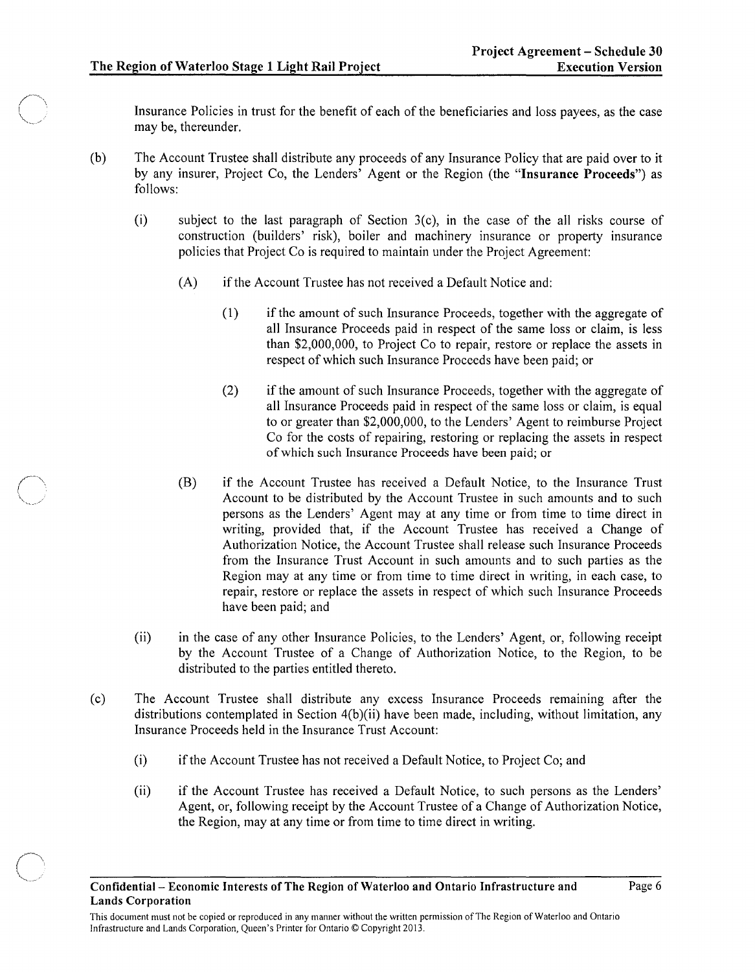Insurance Policies in trust for the benefit of each of the beneficiaries and loss payees, as the case may be, thereunder.

- (b) The Account Trustee shall distribute any proceeds of any Insurance Policy that are paid over to it by any insurer, Project Co, the Lenders' Agent or the Region (the "Insurance Proceeds") as follows:
	- (i) subject to the last paragraph of Section  $3(c)$ , in the case of the all risks course of construction (builders' risk), boiler and machinery insurance or property msurance policies that Project Co is required to maintain under the Project Agreement:
		- (A) if the Account Trustee has not received a Default Notice and:
			- (1) if the amount of such Insurance Proceeds, together with the aggregate of all Insurance Proceeds paid in respect of the same loss or claim, is less than \$2,000,000, to Project Co to repair, restore or replace the assets in respect of which such Insurance Proceeds have been paid; or
			- (2) if the amount of such Insurance Proceeds, together with the aggregate of all Insurance Proceeds paid in respect of the same loss or claim, is equal to or greater than \$2,000,000, to the Lenders' Agent to reimburse Project Co for the costs of repairing, restoring or replacing the assets in respect of which such Insurance Proceeds have been paid; or
		- (B) if the Account Trustee has received a Default Notice, to the Insurance Trust Account to be distributed by the Account Trustee in such amounts and to such persons as the Lenders' Agent may at any time or from time to time direct in writing, provided that, if the Account Trustee has received a Change of Authorization Notice, the Account Trustee shall release such Insurance Proceeds from the Insurance Trust Account in such amounts and to such parties as the Region may at any time or from time to time direct in writing, in each case, to repair, restore or replace the assets in respect of which such Insurance Proceeds have been paid; and
	- (ii) in the case of any other Insurance Policies, to the Lenders' Agent, or, following receipt by the Account Trustee of a Change of Authorization Notice, to the Region, to be distributed to the parties entitled thereto.
- ( c) The Account Trustee shall distribute any excess Insurance Proceeds remammg after the distributions contemplated in Section 4(b)(ii) have been made, including, without limitation, any Insurance Proceeds held in the Insurance Trust Account:
	- (i) if the Account Trustee has not received a Default Notice, to Project Co; and
	- (ii) if the Account Trustee has received a Default Notice, to such persons as the Lenders' Agent, or, following receipt by the Account Trustee of a Change of Authorization Notice, the Region, may at any time or from time to time direct in writing.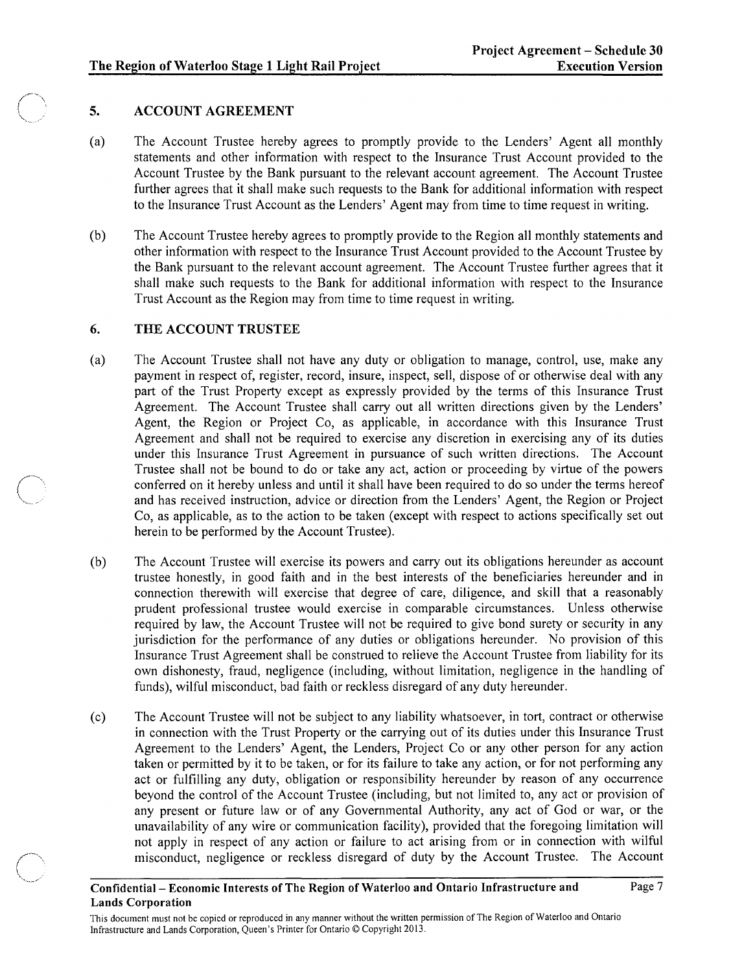# 5. ACCOUNT AGREEMENT

- (a) The Account Trustee hereby agrees to promptly provide to the Lenders' Agent all monthly statements and other information with respect to the Insurance Trust Account provided to the Account Trustee by the Bank pursuant to the relevant account agreement. The Account Trustee further agrees that it shall make such requests to the Bank for additional information with respect to the Insurance Trust Account as the Lenders' Agent may from time to time request in writing.
- (b) The Account Trustee hereby agrees to promptly provide to the Region all monthly statements and other information with respect to the Insurance Trust Account provided to the Account Trustee by the Bank pursuant to the relevant account agreement. The Account Trustee further agrees that it shall make such requests to the Bank for additional information with respect to the Insurance Trust Account as the Region may from time to time request in writing.

# 6. THE ACCOUNT TRUSTEE

- (a) The Account Trustee shall not have any duty or obligation to manage, control, use, make any payment in respect of, register, record, insure, inspect, sell, dispose of or otherwise deal with any part of the Trust Property except as expressly provided by the terms of this Insurance Trust Agreement. The Account Trustee shall carry out all written directions given by the Lenders' Agent, the Region or Project Co, as applicable, in accordance with this Insurance Trust Agreement and shall not be required to exercise any discretion in exercising any of its duties under this Insurance Trust Agreement in pursuance of such written directions. The Account Trustee shall not be bound to do or take any act, action or proceeding by virtue of the powers conferred on it hereby unless and until it shall have been required to do so under the terms hereof and has received instruction, advice or direction from the Lenders' Agent, the Region or Project Co, as applicable, as to the action to be taken (except with respect to actions specifically set out herein to be performed by the Account Trustee).
- (b) The Account Trustee will exercise its powers and carry out its obligations hereunder as account trustee honestly, in good faith and in the best interests of the beneficiaries hereunder and in connection therewith will exercise that degree of care, diligence, and skill that a reasonably prudent professional trustee would exercise in comparable circumstances. Unless otherwise required by law, the Account Trustee will not be required to give bond surety or security in any jurisdiction for the performance of any duties or obligations hereunder. No provision of this Insurance Trust Agreement shall be construed to relieve the Account Trustee from liability for its own dishonesty, fraud, negligence (including, without limitation, negligence in the handling of funds), wilful misconduct, bad faith or reckless disregard of any duty hereunder.
- (c) The Account Trustee will not be subject to any liability whatsoever, in tort, contract or otherwise in connection with the Trust Property or the carrying out of its duties under this Insurance Trust Agreement to the Lenders' Agent, the Lenders, Project Co or any other person for any action taken or permitted by it to be taken, or for its failure to take any action, or for not performing any act or fulfilling any duty, obligation or responsibility hereunder by reason of any occurrence beyond the control of the Account Trustee (including, but not limited to, any act or provision of any present or future law or of any Governmental Authority, any act of God or war, or the unavailability of any wire or communication facility), provided that the foregoing limitation will not apply in respect of any action or failure to act arising from or in connection with wilful misconduct, negligence or reckless disregard of duty by the Account Trustee. The Account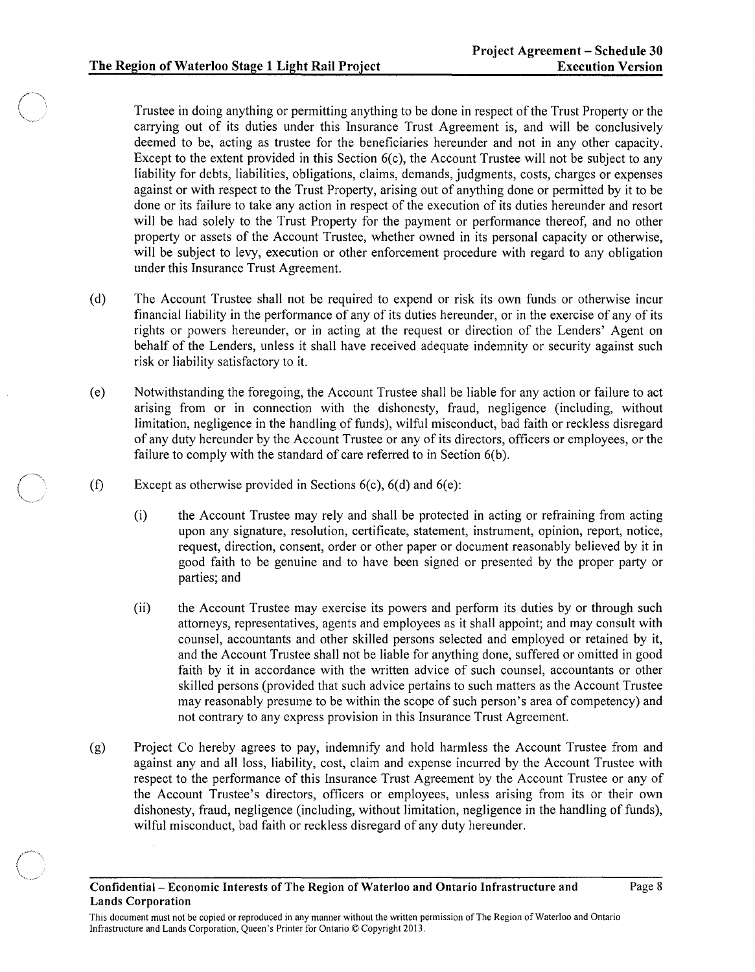Trustee in doing anything or permitting anything to be done in respect of the Trust Property or the carrying out of its duties under this Insurance Trust Agreement is, and will be conclusively deemed to be, acting as trustee for the beneficiaries hereunder and not in any other capacity. Except to the extent provided in this Section  $6(c)$ , the Account Trustee will not be subject to any liability for debts, liabilities, obligations, claims, demands, judgments, costs, charges or expenses against or with respect to the Trust Property, arising out of anything done or permitted by it to be done or its failure to take any action in respect of the execution of its duties hereunder and resort will be had solely to the Trust Property for the payment or performance thereof, and no other property or assets of the Account Trustee, whether owned in its personal capacity or otherwise, will be subject to levy, execution or other enforcement procedure with regard to any obligation under this Insurance Trust Agreement.

- (d) The Account Trustee shall not be required to expend or risk its own funds or otherwise incur financial liability in the performance of any of its duties hereunder, or in the exercise of any of its rights or powers hereunder, or in acting at the request or direction of the Lenders' Agent on behalf of the Lenders, unless it shall have received adequate indemnity or security against such risk or liability satisfactory to it.
- (e) Notwithstanding the foregoing, the Account Trustee shall be liable for any action or failure to act arising from or in connection with the dishonesty, fraud, negligence (including, without limitation, negligence in the handling of funds), wilful misconduct, bad faith or reckless disregard of any duty hereunder by the Account Trustee or any of its directors, officers or employees, or the failure to comply with the standard of care referred to in Section 6(b).
- $(f)$ Except as otherwise provided in Sections 6(c), 6(d) and 6(e):
	- (i) the Account Trustee may rely and shall be protected in acting or refraining from acting upon any signature, resolution, certificate, statement, instrument, opinion, report, notice, request, direction, consent, order or other paper or document reasonably believed by it in good faith to be genuine and to have been signed or presented by the proper party or parties; and
	- (ii) the Account Trustee may exercise its powers and perform its duties by or through such attorneys, representatives, agents and employees as it shall appoint; and may consult with counsel, accountants and other skilled persons selected and employed or retained by it, and the Account Trustee shall not be liable for anything done, suffered or omitted in good faith by it in accordance with the written advice of such counsel, accountants or other skilled persons (provided that such advice pertains to such matters as the Account Trustee may reasonably presume to be within the scope of such person's area of competency) and not contrary to any express provision in this Insurance Trust Agreement.
- (g) Project Co hereby agrees to pay, indemnify and hold harmless the Account Trustee from and against any and all loss, liability, cost, claim and expense incurred by the Account Trustee with respect to the performance of this Insurance Trust Agreement by the Account Trustee or any of the Account Trustee's directors, officers or employees, unless arising from its or their own dishonesty, fraud, negligence (including, without limitation, negligence in the handling of funds), wilful misconduct, bad faith or reckless disregard of any duty hereunder.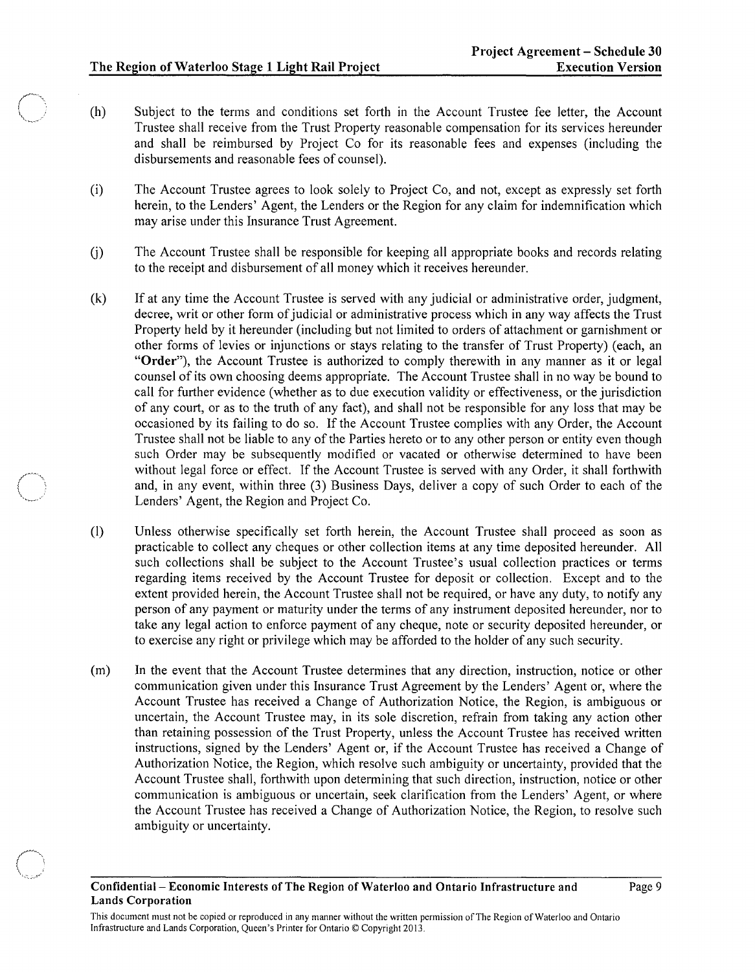$\bigcirc$  $\mathbf{r} = \mathbf{r} \times \mathbf{r}$ ''-"'r-y--'"''.

- (h) Subject to the terms and conditions set forth in the Account Trustee fee letter, the Account Trustee shall receive from the Trust Property reasonable compensation for its services hereunder and shall be reimbursed by Project Co for its reasonable fees and expenses (including the disbursements and reasonable fees of counsel).
- (i) The Account Trustee agrees to look solely to Project Co, and not, except as expressly set forth herein, to the Lenders' Agent, the Lenders or the Region for any claim for indemnification which may arise under this Insurance Trust Agreement.
- U) The Account Trustee shall be responsible for keeping all appropriate books and records relating to the receipt and disbursement of all money which it receives hereunder.
- (k) If at any time the Account Trustee is served with any judicial or administrative order, judgment, decree, writ or other form of judicial or administrative process which in any way affects the Trust Property held by it hereunder (including but not limited to orders of attachment or garnishment or other forms of levies or injunctions or stays relating to the transfer of Trust Property) (each, an "Order"), the Account Trustee is authorized to comply therewith in any manner as it or legal counsel of its own choosing deems appropriate. The Account Trustee shall in no way be bound to call for further evidence (whether as to due execution validity or effectiveness, or the jurisdiction of any court, or as to the truth of any fact), and shall not be responsible for any loss that may be occasioned by its failing to do so. If the Account Trustee complies with any Order, the Account Trustee shall not be liable to any of the Parties hereto or to any other person or entity even though such Order may be subsequently modified or vacated or otherwise determined to have been without legal force or effect. If the Account Trustee is served with any Order, it shall forthwith and, in any event, within three (3) Business Days, deliver a copy of such Order to each of the Lenders' Agent, the Region and Project Co.
- (I) Unless otherwise specifically set forth herein, the Account Trustee shall proceed as soon as practicable to collect any cheques or other collection items at any time deposited hereunder. All such collections shall be subject to the Account Trustee's usual collection practices or terms regarding items received by the Account Trustee for deposit or collection. Except and to the extent provided herein, the Account Trustee shall not be required, or have any duty, to notify any person of any payment or maturity under the terms of any instrument deposited hereunder, nor to take any legal action to enforce payment of any cheque, note or security deposited hereunder, or to exercise any right or privilege which may be afforded to the holder of any such security.
- (m) In the event that the Account Trustee determines that any direction, instruction, notice or other communication given under this Insurance Trust Agreement by the Lenders' Agent or, where the Account Trustee has received a Change of Authorization Notice, the Region, is ambiguous or uncertain, the Account Trustee may, in its sole discretion, refrain from taking any action other than retaining possession of the Trust Property, unless the Account Trustee has received written instructions, signed by the Lenders' Agent or, if the Account Trustee has received a Change of Authorization Notice, the Region, which resolve such ambiguity or uncertainty, provided that the Account Trustee shall, forthwith upon determining that such direction, instruction, notice or other communication is ambiguous or uncertain, seek clarification from the Lenders' Agent, or where the Account Trustee has received a Change of Authorization Notice, the Region, to resolve such ambiguity or uncertainty.

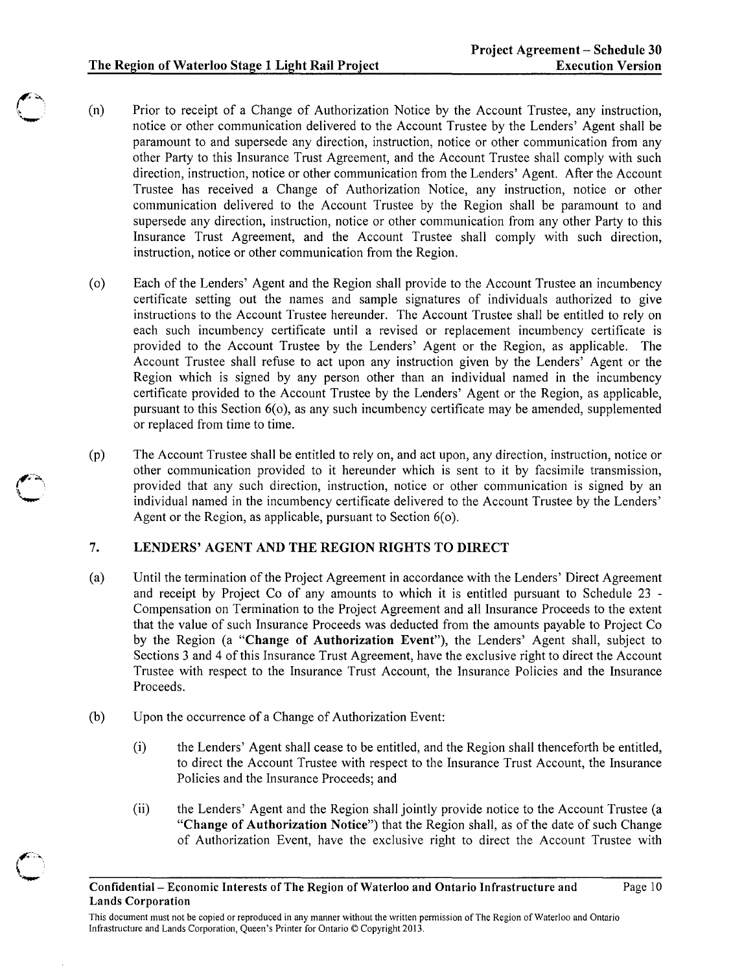- (n) Prior to receipt of a Change of Authorization Notice by the Account Trustee, any instruction, notice or other communication delivered to the Account Trustee by the Lenders' Agent shall be paramount to and supersede any direction, instruction, notice or other communication from any other Party to this Insurance Trust Agreement, and the Account Trustee shall comply with such direction, instruction, notice or other communication from the Lenders' Agent. After the Account Trustee has received a Change of Authorization Notice, any instruction, notice or other communication delivered to the Account Trustee by the Region shall be paramount to and supersede any direction, instruction, notice or other communication from any other Party to this Insurance Trust Agreement, and the Account Trustee shall comply with such direction, instruction, notice or other communication from the Region.
- (0) Each of the Lenders' Agent and the Region shall provide to the Account Trustee an incumbency certificate setting out the names and sample signatures of individuals authorized to give instructions to the Account Trustee hereunder. The Account Trustee shall be entitled to rely on each such incumbency certificate until a revised or replacement incumbency certificate is provided to the Account Trustee by the Lenders' Agent or the Region, as applicable. The Account Trustee shall refuse to act upon any instruction given by the Lenders' Agent or the Region which is signed by any person other than an individual named in the incumbency certificate provided to the Account Trustee by the Lenders' Agent or the Region, as applicable, pursuant to this Section  $6(0)$ , as any such incumbency certificate may be amended, supplemented or replaced from time to time.
- (p) The Account Trustee shall be entitled to rely on, and act upon, any direction, instruction, notice or other communication provided to it hereunder which is sent to it by facsimile transmission, provided that any such direction, instruction, notice or other communication is signed by an individual named in the incumbency certificate delivered to the Account Trustee by the Lenders' Agent or the Region, as applicable, pursuant to Section 6(0).

# 7. LENDERS' AGENT AND THE REGION RIGHTS TO DIRECT

- (a) Until the termination of the Project Agreement in accordance with the Lenders' Direct Agreement and receipt by Project Co of any amounts to which it is entitled pursuant to Schedule 23 - Compensation on Termination to the Project Agreement and all Insurance Proceeds to the extent that the value of such Insurance Proceeds was deducted from the amounts payable to Project Co by the Region (a "Change of Authorization Event"), the Lenders' Agent shall, subject to Sections 3 and 4 of this Insurance Trust Agreement, have the exclusive right to direct the Account Trustee with respect to the Insurance Trust Account, the Insurance Policies and the Insurance Proceeds.
- (b) Upon the occurrence of a Change of Authorization Event:
	- (i) the Lenders' Agent shall cease to be entitled, and the Region shall thenceforth be entitled, to direct the Account Trustee with respect to the Insurance Trust Account, the Insurance Policies and the Insurance Proceeds; and
	- (ii) the Lenders' Agent and the Region shall jointly provide notice to the Account Trustee (a "Change of Authorization Notice") that the Region shall, as of the date of such Change of Authorization Event, have the exclusive right to direct the Account Trustee with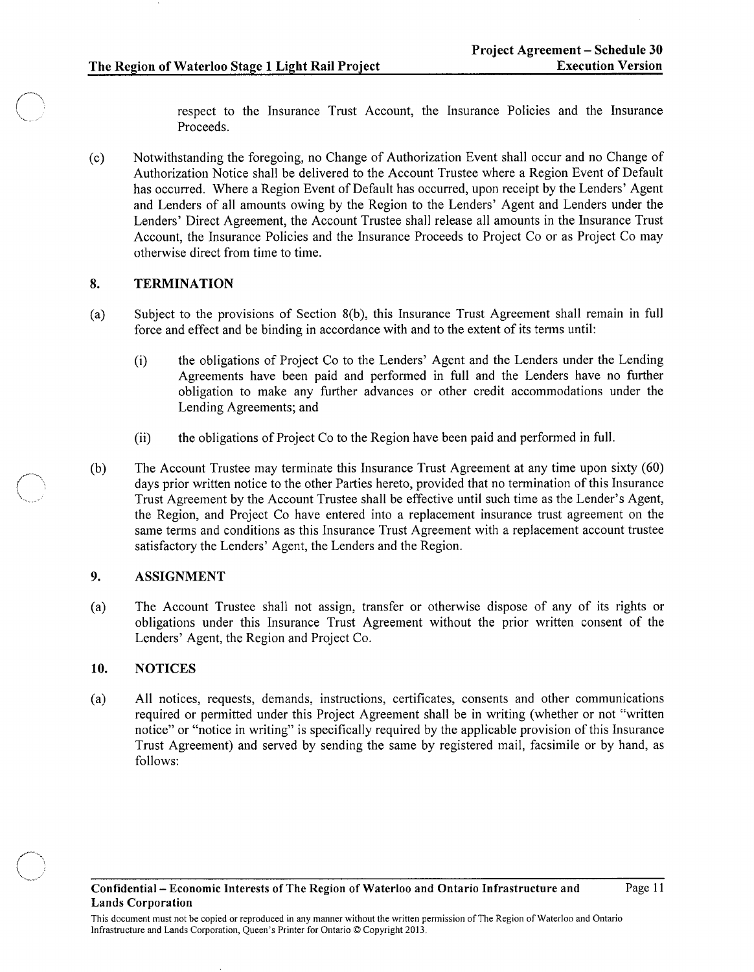respect to the Insurance Trust Account, the Insurance Policies and the Insurance Proceeds.

(c) Notwithstanding the foregoing, no Change of Authorization Event shall occur and no Change of Authorization Notice shall be delivered to the Account Trustee where a Region Event of Default has occurred. Where a Region Event of Default has occurred, upon receipt by the Lenders' Agent and Lenders of all amounts owing by the Region to the Lenders' Agent and Lenders under the Lenders' Direct Agreement, the Account Trustee shall release all amounts in the Insurance Trust Account, the Insurance Policies and the Insurance Proceeds to Project Co or as Project Co may otherwise direct from time to time.

#### 8. **TERMINATION**

- (a) Subject to the provisions of Section 8(b), this Insurance Trust Agreement shall remain in full force and effect and be binding in accordance with and to the extent of its terms until:
	- (i) the obligations of Project Co to the Lenders' Agent and the Lenders under the Lending Agreements have been paid and performed in full and the Lenders have no further obligation to make any further advances or other credit accommodations under the Lending Agreements; and
	- (ii) the obligations of Project Co to the Region have been paid and performed in full.
- (b) The Account Trustee may terminate this Insurance Trust Agreement at any time upon sixty (60) days prior written notice to the other Parties hereto, provided that no termination of this Insurance Trust Agreement by the Account Trustee shall be effective until such time as the Lender's Agent, the Region, and Project Co have entered into a replacement insurance trust agreement on the same terms and conditions as this Insurance Trust Agreement with a replacement account trustee satisfactory the Lenders' Agent, the Lenders and the Region.

# 9. ASSIGNMENT

(a) The Account Trustee shall not assign, transfer or otherwise dispose of any of its rights or obligations under this Insurance Trust Agreement without the prior written consent of the Lenders' Agent, the Region and Project Co.

# 10. NOTICES

(a) All notices, requests, demands, instructions, certificates, consents and other communications required or permitted under this Project Agreement shall be in writing (whether or not "written notice" or "notice in writing" is specifically required by the applicable provision of this Insurance Trust Agreement) and served by sending the same by registered mail, facsimile or by hand, as follows: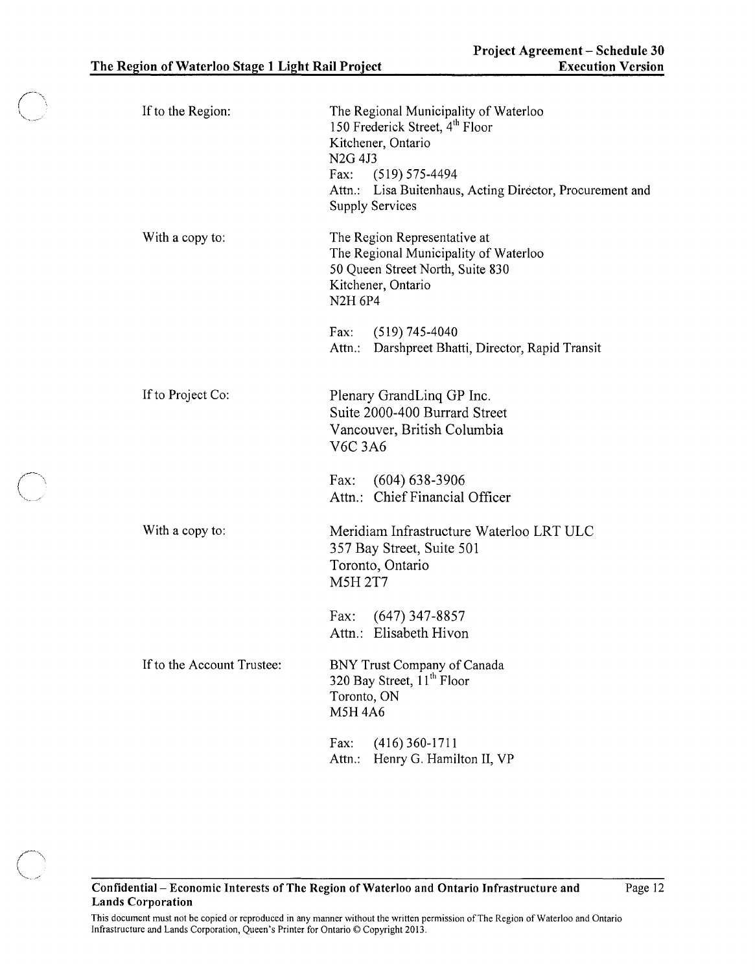| If to the Region:          | The Regional Municipality of Waterloo<br>150 Frederick Street, 4 <sup>th</sup> Floor<br>Kitchener, Ontario<br>N <sub>2G</sub> 4J <sub>3</sub><br>Fax: $(519) 575-4494$<br>Attn.: Lisa Buitenhaus, Acting Director, Procurement and<br><b>Supply Services</b> |
|----------------------------|--------------------------------------------------------------------------------------------------------------------------------------------------------------------------------------------------------------------------------------------------------------|
| With a copy to:            | The Region Representative at<br>The Regional Municipality of Waterloo<br>50 Queen Street North, Suite 830<br>Kitchener, Ontario<br><b>N2H 6P4</b>                                                                                                            |
|                            | Fax: $(519)$ 745-4040<br>Attn.: Darshpreet Bhatti, Director, Rapid Transit                                                                                                                                                                                   |
| If to Project Co:          | Plenary GrandLinq GP Inc.<br>Suite 2000-400 Burrard Street<br>Vancouver, British Columbia<br><b>V6C 3A6</b>                                                                                                                                                  |
|                            | Fax: (604) 638-3906<br>Attn.: Chief Financial Officer                                                                                                                                                                                                        |
| With a copy to:            | Meridiam Infrastructure Waterloo LRT ULC<br>357 Bay Street, Suite 501<br>Toronto, Ontario<br><b>M5H 2T7</b>                                                                                                                                                  |
|                            | Fax: $(647)$ 347-8857<br>Attn.: Elisabeth Hivon                                                                                                                                                                                                              |
| If to the Account Trustee: | <b>BNY Trust Company of Canada</b><br>320 Bay Street, 11 <sup>th</sup> Floor<br>Toronto, ON<br><b>M5H4A6</b>                                                                                                                                                 |
|                            | $(416)$ 360-1711<br>Fax:<br>Henry G. Hamilton II, VP<br>Attn.:                                                                                                                                                                                               |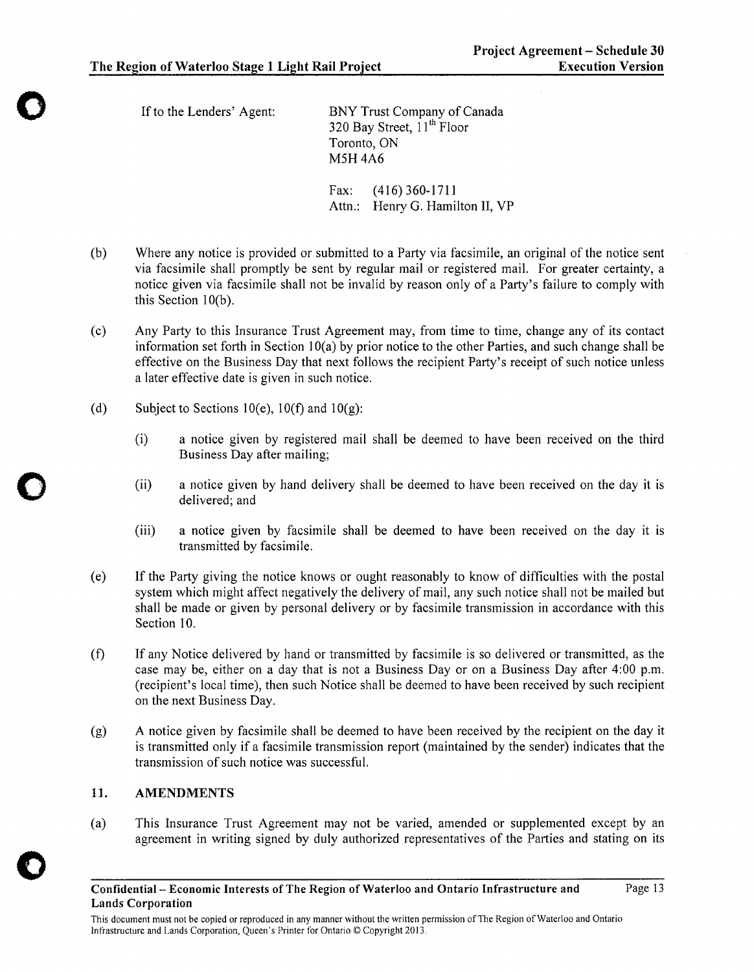o

o

*o* 

If to the Lenders' Agent: BNY Trust Company of Canada 320 Bay Street,  $11^{th}$  Floor Toronto, ON M5H4A6

> Fax: (416) 360-1711 Attn.: Henry G. Hamilton II, VP

- (b) Where any notice is provided or submitted to a Party via facsimile, an original of the notice sent via facsimile shall promptly be sent by regular mail or registered mail. For greater certainty, a notice given via facsimile shall not be invalid by reason only of a Party's failure to comply with this Section  $10(b)$ .
- (c) Any Party to this Insurance Trust Agreement may, from time to time, change any of its contact information set forth in Section 10(a) by prior notice to the other Parties, and such change shall be effective on the Business Day that next follows the recipient Party's receipt of such notice unless a later effective date is given in such notice.
- (d) Subject to Sections 10(e), 10(f) and 10(g):
	- (i) a notice given by registered mail shall be deemed to have been received on the third Business Day after mailing;
	- (ii) a notice given by hand delivery shall be deemed to have been received on the day it is delivered; and
	- (iii) a notice given by facsimile shall be deemed to have been received on the day it is transmitted by facsimile.
- (e) If the Party giving the notice knows or ought reasonably to know of difficulties with the postal system which might affect negatively the delivery of mail, any such notice shall not be mailed but shall be made or given by personal delivery or by facsimile transmission in accordance with this Section 10.
- (i) If any Notice delivered by hand or transmitted by facsimile is so delivered or transmitted, as the case may be, either on a day that is not a Business Day or on a Business Day after 4:00 p.m. (recipient's local time), then such Notice shall be deemed to have been received by such recipient on the next Business Day.
- (g) A notice given by facsimile shall be deemed to have been received by the recipient on the day it is transmitted only if a facsimile transmission report (maintained by the sender) indicates that the transmission of such notice was successful.

# 11. AMENDMENTS

(a) This Insurance Trust Agreement may not be varied, amended or supplemented except by an agreement in writing signed by duly authorized representatives of the Parties and stating on its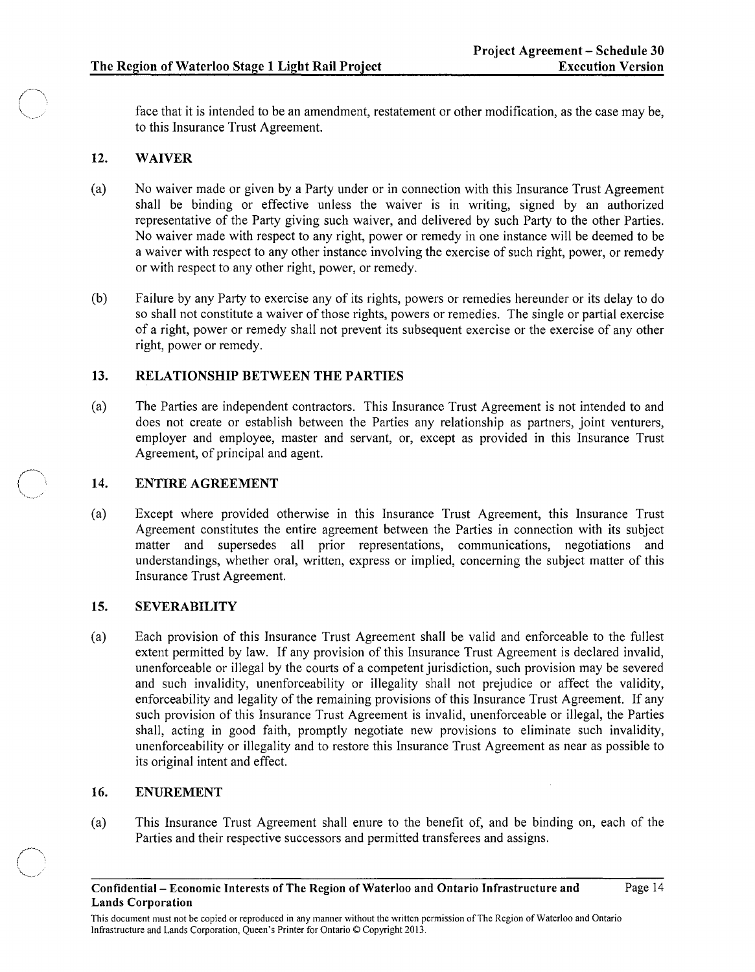face that it is intended to be an amendment, restatement or other modification, as the case may be, to this Insurance Trust Agreement.

#### 12. WAIVER

- (a) No waiver made or given by a Party under or in connection with this Insurance Trust Agreement shall be binding or effective unless the waiver is in writing, signed by an authorized representative of the Party giving such waiver, and delivered by such Party to the other Parties. No waiver made with respect to any right, power or remedy in one instance will be deemed to be a waiver with respect to any other instance involving the exercise of such right, power, or remedy or with respect to any other right, power, or remedy.
- (b) Failure by any Party to exercise any of its rights, powers or remedies hereunder or its delay to do so shall not constitute a waiver of those rights, powers or remedies. The single or partial exercise of a right, power or remedy shall not prevent its subsequent exercise or the exercise of any other right, power or remedy.

#### 13. RELATIONSHIP BETWEEN THE PARTIES

(a) The Parties are independent contractors. This Insurance Trust Agreement is not intended to and does not create or establish between the Parties any relationship as partners, joint venturers, employer and employee, master and servant, or, except as provided in this Insurance Trust Agreement, of principal and agent.

#### 14. ENTIRE AGREEMENT

(a) Except where provided otherwise in this Insurance Trust Agreement, this Insurance Trust Agreement constitutes the entire agreement between the Parties in connection with its subject matter and supersedes all prior representations, communications, negotiations and understandings, whether oral, written, express or implied, concerning the subject matter of this Insurance Trust Agreement.

# 15. SEVERABILITY

(a) Each provision of this Insurance Trust Agreement shall be valid and enforceable to the fullest extent permitted by law. If any provision of this Insurance Trust Agreement is declared invalid, unenforceable or illegal by the courts of a competent jurisdiction, such provision may be severed and such invalidity, unenforceability or illegality shall not prejudice or affect the validity, enforceability and legality of the remaining provisions of this Insurance Trust Agreement. If any such provision of this Insurance Trust Agreement is invalid, unenforceable or illegal, the Parties shall, acting in good faith, promptly negotiate new provisions to eliminate such invalidity, unenforceability or illegality and to restore this Insurance Trust Agreement as near as possible to its original intent and effect.

### 16. ENUREMENT

(a) This Insurance Trust Agreement shall enure to the benefit of, and be binding on, each of the Parties and their respective successors and permitted transferees and assigns.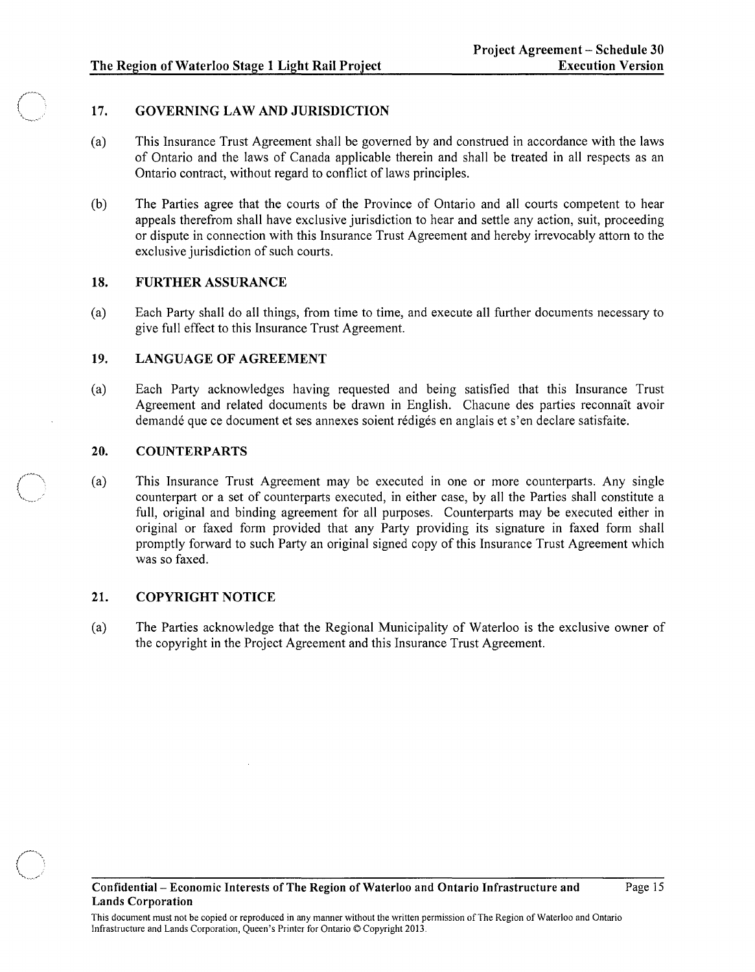# 17. GOVERNING LAW AND JURISDICTION

- (a) This Insurance Trust Agreement shall be governed by and construed in accordance with the laws of Ontario and the laws of Canada applicable therein and shall be treated in all respects as an Ontario contract, without regard to conflict of laws principles.
- (b) The Parties agree that the courts of the Province of Ontario and all courts competent to hear appeals therefrom shall have exclusive jurisdiction to hear and settle any action, suit, proceeding or dispute in connection with this Insurance Trust Agreement and hereby irrevocably attorn to the exclusive jurisdiction of such courts.

### 18. FURTHER ASSURANCE

(a) Each Party shall do all things, from time to time, and execute all further documents necessary to give full effect to this Insurance Trust Agreement.

# 19. LANGUAGE OF AGREEMENT

(a) Each Party acknowledges having requested and being satisfied that this Insurance Trust Agreement and related documents be drawn in English. Chacune des parties reconnait avoir demandé que ce document et ses annexes soient rédigés en anglais et s'en declare satisfaite.

### 20. COUNTERPARTS

(a) This Insurance Trust Agreement may be executed in one or more counterparts. Any single counterpart or a set of counterparts executed, in either case, by all the Parties shall constitute a full, original and binding agreement for all purposes. Counterparts may be executed either in original or faxed form provided that any Party providing its signature in faxed form shall promptly forward to such Party an original signed copy of this Insurance Trust Agreement which was so faxed.

# 21. COPYRIGHT NOTICE

(a) The Parties acknowledge that the Regional Municipality of Waterloo is the exclusive owner of the copyright in the Project Agreement and this Insurance Trust Agreement.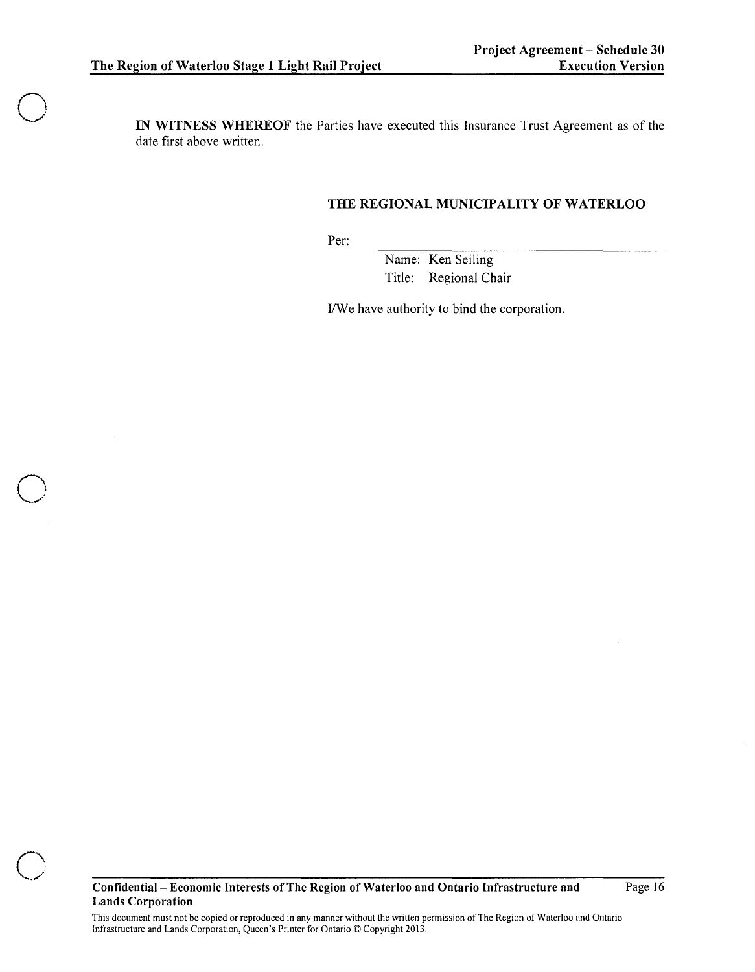o

o

**IN WITNESS WHEREOF** the Parties have executed this Insurance Trust Agreement as of the date first above written.

# **THE REGIONAL MUNICIPALITY OF WATERLOO**

Per:

Name: Ken Seiling Title: Regional Chair

I/We have authority to bind the corporation.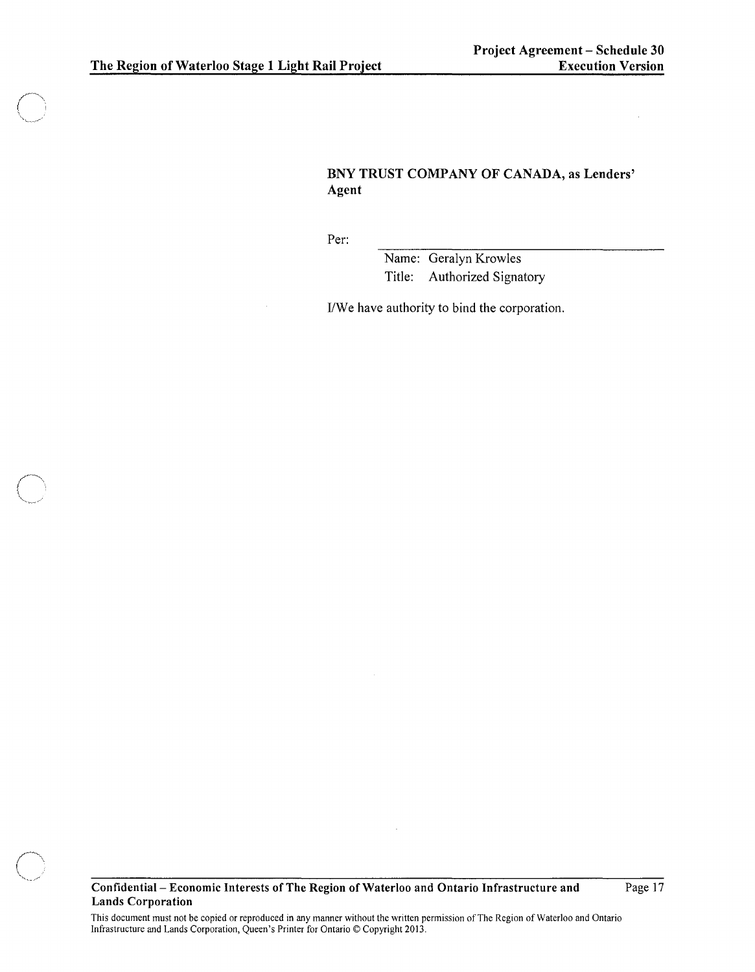# BNY TRUST COMPANY OF CANADA, as Lenders' Agent

Per:

Name: Geralyn Krowles Title: Authorized Signatory

I/We have authority to bind the corporation.

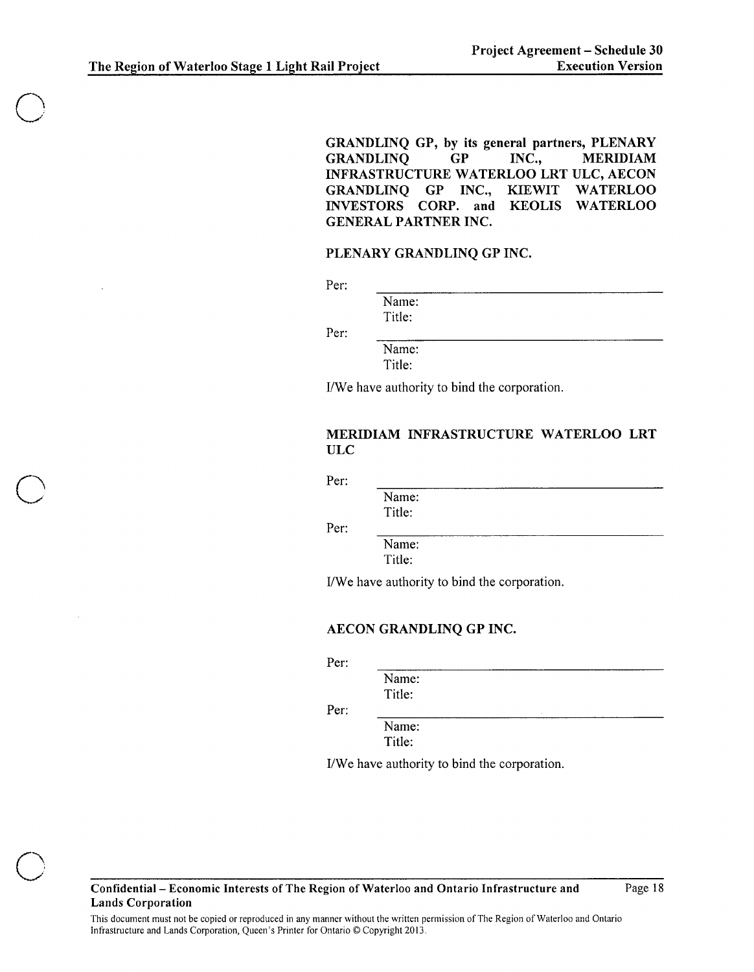GRANDLINQ GP, by its general partners, PLENARY GRANDLINQ GP INC., MERIDIAM INFRASTRUCTURE WATERLOO LRT ULC, AECON GRANDLINQ GP INC., KIEWIT WATERLOO INVESTORS CORP. and KEOLIS WATERLOO GENERAL PARTNER INC.

# PLENARY GRANDLINQ GP INC.

Per:

Name: Title:

Per:

Name: Title:

I/We have authority to bind the corporation.

### MERIDIAM INFRASTRUCTURE WATERLOO LRT ULC

Per:

Name:

Title:

Per:

Name: Title:

I/We have authority to bind the corporation.

# AECON GRANDLINQ GP INC.

Per:

Per:

| Name:  |  |  |
|--------|--|--|
| Title: |  |  |
|        |  |  |

Name: Title:

I/We have authority to bind the corporation.

o

o

Confidential- Economic Interests of The Region of Waterloo and Ontario Infrastructure and Lands Corporation

Page 18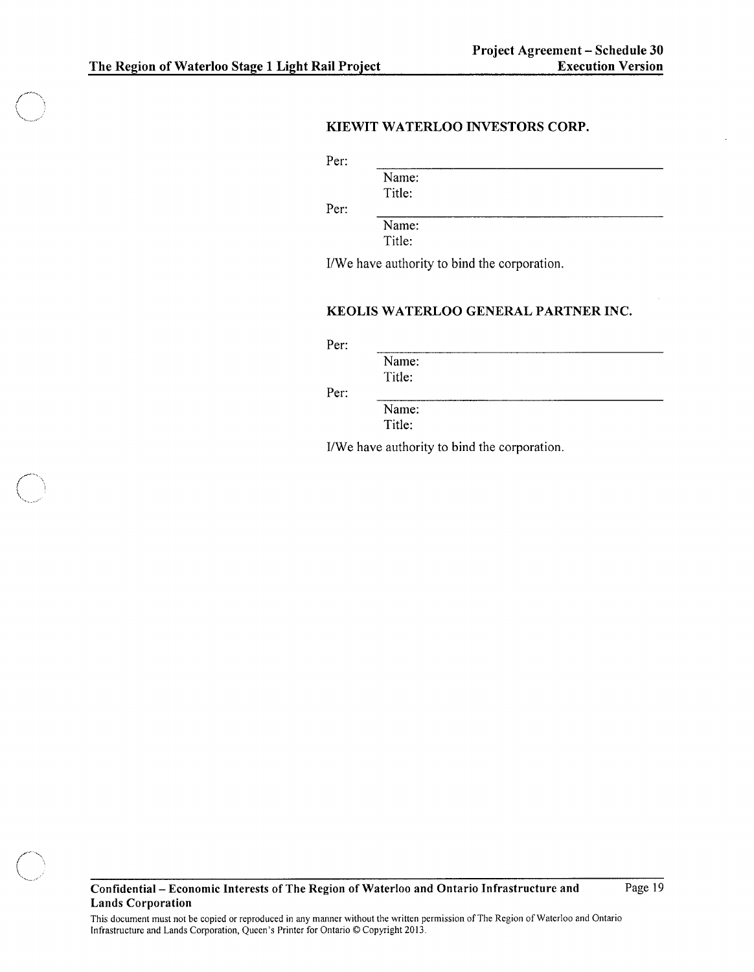# **KIEWIT WATERLOO INVESTORS CORP.**

Per:

Name: Title:

Per:

Name: Title:

IJWe have authority to bind the corporation.

# **KEOLIS WATERLOO GENERAL PARTNER INC.**

Per:

Name: Title:

Per:

Name: Title:

IJWe have authority to bind the corporation.